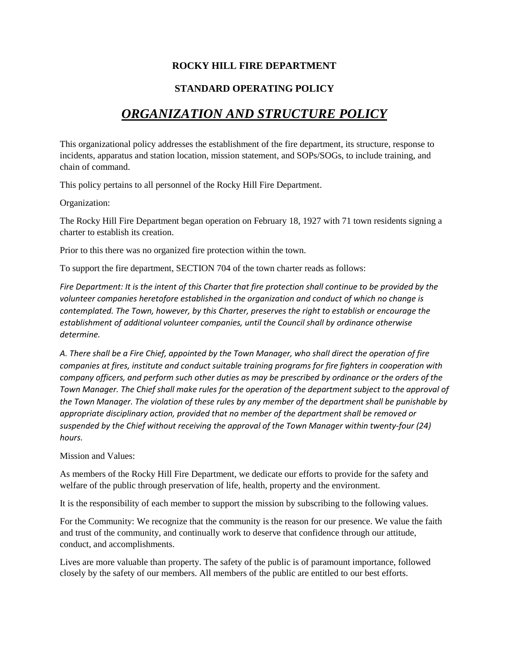## **ROCKY HILL FIRE DEPARTMENT**

## **STANDARD OPERATING POLICY**

# *ORGANIZATION AND STRUCTURE POLICY*

This organizational policy addresses the establishment of the fire department, its structure, response to incidents, apparatus and station location, mission statement, and SOPs/SOGs, to include training, and chain of command.

This policy pertains to all personnel of the Rocky Hill Fire Department.

Organization:

The Rocky Hill Fire Department began operation on February 18, 1927 with 71 town residents signing a charter to establish its creation.

Prior to this there was no organized fire protection within the town.

To support the fire department, SECTION 704 of the town charter reads as follows:

*Fire Department: It is the intent of this Charter that fire protection shall continue to be provided by the volunteer companies heretofore established in the organization and conduct of which no change is contemplated. The Town, however, by this Charter, preserves the right to establish or encourage the establishment of additional volunteer companies, until the Council shall by ordinance otherwise determine.* 

*A. There shall be a Fire Chief, appointed by the Town Manager, who shall direct the operation of fire companies at fires, institute and conduct suitable training programs for fire fighters in cooperation with company officers, and perform such other duties as may be prescribed by ordinance or the orders of the Town Manager. The Chief shall make rules for the operation of the department subject to the approval of the Town Manager. The violation of these rules by any member of the department shall be punishable by appropriate disciplinary action, provided that no member of the department shall be removed or suspended by the Chief without receiving the approval of the Town Manager within twenty-four (24) hours.*

Mission and Values:

As members of the Rocky Hill Fire Department, we dedicate our efforts to provide for the safety and welfare of the public through preservation of life, health, property and the environment.

It is the responsibility of each member to support the mission by subscribing to the following values.

For the Community: We recognize that the community is the reason for our presence. We value the faith and trust of the community, and continually work to deserve that confidence through our attitude, conduct, and accomplishments.

Lives are more valuable than property. The safety of the public is of paramount importance, followed closely by the safety of our members. All members of the public are entitled to our best efforts.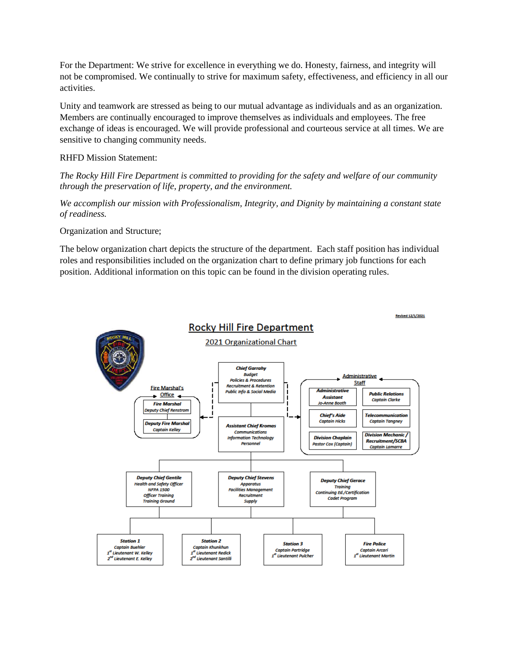For the Department: We strive for excellence in everything we do. Honesty, fairness, and integrity will not be compromised. We continually to strive for maximum safety, effectiveness, and efficiency in all our activities.

Unity and teamwork are stressed as being to our mutual advantage as individuals and as an organization. Members are continually encouraged to improve themselves as individuals and employees. The free exchange of ideas is encouraged. We will provide professional and courteous service at all times. We are sensitive to changing community needs.

### RHFD Mission Statement:

*The Rocky Hill Fire Department is committed to providing for the safety and welfare of our community through the preservation of life, property, and the environment.*

*We accomplish our mission with Professionalism, Integrity, and Dignity by maintaining a constant state of readiness.*

Organization and Structure;

The below organization chart depicts the structure of the department. Each staff position has individual roles and responsibilities included on the organization chart to define primary job functions for each position. Additional information on this topic can be found in the division operating rules.

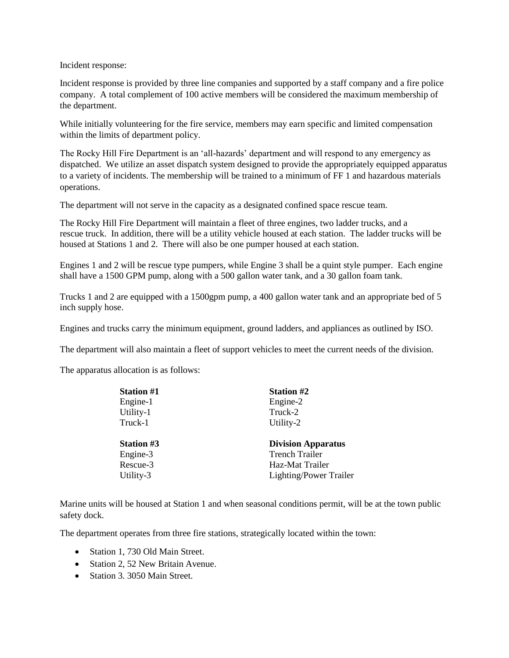Incident response:

Incident response is provided by three line companies and supported by a staff company and a fire police company. A total complement of 100 active members will be considered the maximum membership of the department.

While initially volunteering for the fire service, members may earn specific and limited compensation within the limits of department policy.

The Rocky Hill Fire Department is an 'all-hazards' department and will respond to any emergency as dispatched. We utilize an asset dispatch system designed to provide the appropriately equipped apparatus to a variety of incidents. The membership will be trained to a minimum of FF 1 and hazardous materials operations.

The department will not serve in the capacity as a designated confined space rescue team.

The Rocky Hill Fire Department will maintain a fleet of three engines, two ladder trucks, and a rescue truck. In addition, there will be a utility vehicle housed at each station. The ladder trucks will be housed at Stations 1 and 2. There will also be one pumper housed at each station.

Engines 1 and 2 will be rescue type pumpers, while Engine 3 shall be a quint style pumper. Each engine shall have a 1500 GPM pump, along with a 500 gallon water tank, and a 30 gallon foam tank.

Trucks 1 and 2 are equipped with a 1500gpm pump, a 400 gallon water tank and an appropriate bed of 5 inch supply hose.

Engines and trucks carry the minimum equipment, ground ladders, and appliances as outlined by ISO.

The department will also maintain a fleet of support vehicles to meet the current needs of the division.

The apparatus allocation is as follows:

| <b>Station #1</b> | <b>Station #2</b>         |
|-------------------|---------------------------|
| Engine-1          | Engine-2                  |
| Utility-1         | Truck-2                   |
| Truck-1           | Utility-2                 |
| <b>Station #3</b> | <b>Division Apparatus</b> |
|                   |                           |
| Engine-3          | <b>Trench Trailer</b>     |
| Rescue-3          | Haz-Mat Trailer           |

Marine units will be housed at Station 1 and when seasonal conditions permit, will be at the town public safety dock.

The department operates from three fire stations, strategically located within the town:

- Station 1, 730 Old Main Street.
- Station 2, 52 New Britain Avenue.
- Station 3, 3050 Main Street.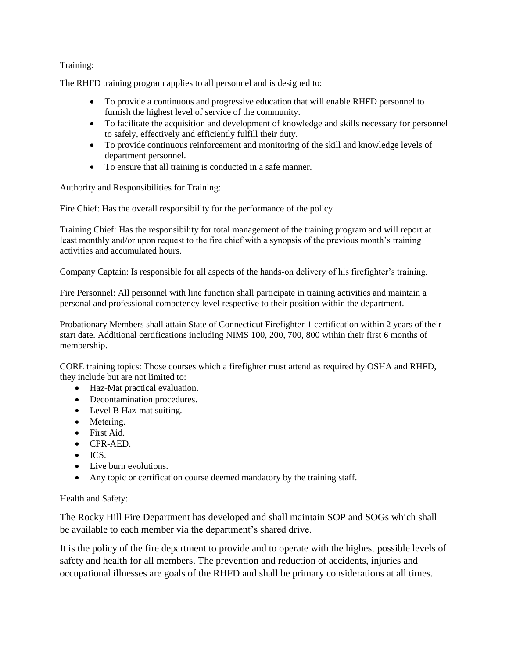### Training:

The RHFD training program applies to all personnel and is designed to:

- To provide a continuous and progressive education that will enable RHFD personnel to furnish the highest level of service of the community.
- To facilitate the acquisition and development of knowledge and skills necessary for personnel to safely, effectively and efficiently fulfill their duty.
- To provide continuous reinforcement and monitoring of the skill and knowledge levels of department personnel.
- To ensure that all training is conducted in a safe manner.

Authority and Responsibilities for Training:

Fire Chief: Has the overall responsibility for the performance of the policy

Training Chief: Has the responsibility for total management of the training program and will report at least monthly and/or upon request to the fire chief with a synopsis of the previous month's training activities and accumulated hours.

Company Captain: Is responsible for all aspects of the hands-on delivery of his firefighter's training.

Fire Personnel: All personnel with line function shall participate in training activities and maintain a personal and professional competency level respective to their position within the department.

Probationary Members shall attain State of Connecticut Firefighter-1 certification within 2 years of their start date. Additional certifications including NIMS 100, 200, 700, 800 within their first 6 months of membership.

CORE training topics: Those courses which a firefighter must attend as required by OSHA and RHFD, they include but are not limited to:

- Haz-Mat practical evaluation.
- Decontamination procedures.
- Level B Haz-mat suiting.
- Metering.
- First Aid.
- CPR-AED.
- $\bullet$  ICS.
- Live burn evolutions.
- Any topic or certification course deemed mandatory by the training staff.

#### Health and Safety:

The Rocky Hill Fire Department has developed and shall maintain SOP and SOGs which shall be available to each member via the department's shared drive.

It is the policy of the fire department to provide and to operate with the highest possible levels of safety and health for all members. The prevention and reduction of accidents, injuries and occupational illnesses are goals of the RHFD and shall be primary considerations at all times.